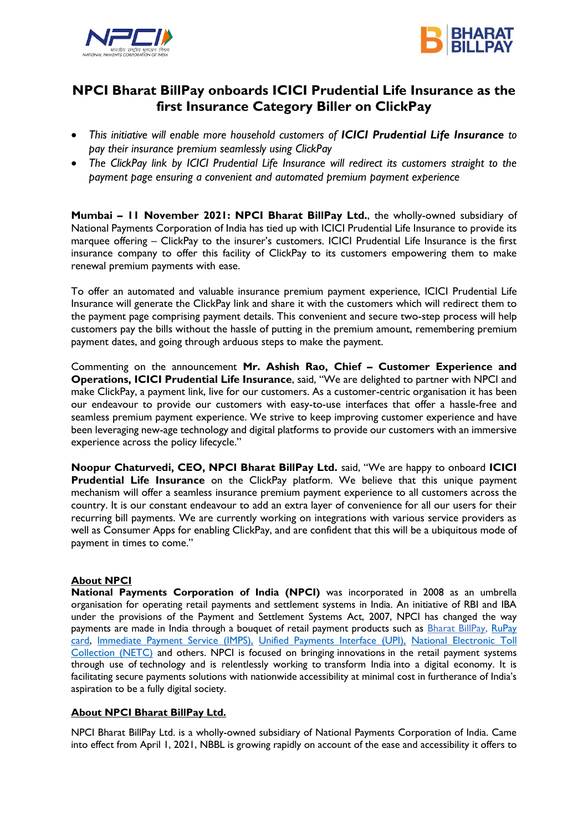



# **NPCI Bharat BillPay onboards ICICI Prudential Life Insurance as the first Insurance Category Biller on ClickPay**

- *This initiative will enable more household customers of ICICI Prudential Life Insurance to pay their insurance premium seamlessly using ClickPay*
- *The ClickPay link by ICICI Prudential Life Insurance will redirect its customers straight to the payment page ensuring a convenient and automated premium payment experience*

**Mumbai – 11 November 2021: NPCI Bharat BillPay Ltd.**, the wholly-owned subsidiary of National Payments Corporation of India has tied up with ICICI Prudential Life Insurance to provide its marquee offering – ClickPay to the insurer's customers. ICICI Prudential Life Insurance is the first insurance company to offer this facility of ClickPay to its customers empowering them to make renewal premium payments with ease.

To offer an automated and valuable insurance premium payment experience, ICICI Prudential Life Insurance will generate the ClickPay link and share it with the customers which will redirect them to the payment page comprising payment details. This convenient and secure two-step process will help customers pay the bills without the hassle of putting in the premium amount, remembering premium payment dates, and going through arduous steps to make the payment.

Commenting on the announcement **Mr. Ashish Rao, Chief – Customer Experience and Operations, ICICI Prudential Life Insurance**, said, "We are delighted to partner with NPCI and make ClickPay, a payment link, live for our customers. As a customer-centric organisation it has been our endeavour to provide our customers with easy-to-use interfaces that offer a hassle-free and seamless premium payment experience. We strive to keep improving customer experience and have been leveraging new-age technology and digital platforms to provide our customers with an immersive experience across the policy lifecycle."

**Noopur Chaturvedi, CEO, NPCI Bharat BillPay Ltd.** said, "We are happy to onboard **ICICI Prudential Life Insurance** on the ClickPay platform. We believe that this unique payment mechanism will offer a seamless insurance premium payment experience to all customers across the country. It is our constant endeavour to add an extra layer of convenience for all our users for their recurring bill payments. We are currently working on integrations with various service providers as well as Consumer Apps for enabling ClickPay, and are confident that this will be a ubiquitous mode of payment in times to come."

## **About NPCI**

**National Payments Corporation of India (NPCI)** was incorporated in 2008 as an umbrella organisation for operating retail payments and settlement systems in India. An initiative of RBI and IBA under the provisions of the Payment and Settlement Systems Act, 2007, NPCI has changed the way payments are made in India through a bouquet of retail payment products such as [Bharat BillPay,](https://ind01.safelinks.protection.outlook.com/?url=https%3A%2F%2Fwww.npci.org.in%2Fproduct-overview%2Fbharat-billpay-product-overview&data=04%7C01%7Cnitasha.chandnani%40npci.org.in%7C4c43ceb636fb4fcf028e08d99ddda1a4%7C8ca9216b1bdf40569775f5e402a48d32%7C0%7C0%7C637714397488347015%7CUnknown%7CTWFpbGZsb3d8eyJWIjoiMC4wLjAwMDAiLCJQIjoiV2luMzIiLCJBTiI6Ik1haWwiLCJXVCI6Mn0%3D%7C1000&sdata=tmCZmfWoFE6hvQTenVcT7KNupEFmNND9fwMxiM1TMhg%3D&reserved=0) RuPay [card,](https://ind01.safelinks.protection.outlook.com/?url=https%3A%2F%2Fwww.npci.org.in%2Fproduct-overview%2Frupay-product-overview&data=04%7C01%7Cnitasha.chandnani%40npci.org.in%7C4c43ceb636fb4fcf028e08d99ddda1a4%7C8ca9216b1bdf40569775f5e402a48d32%7C0%7C0%7C637714397488347015%7CUnknown%7CTWFpbGZsb3d8eyJWIjoiMC4wLjAwMDAiLCJQIjoiV2luMzIiLCJBTiI6Ik1haWwiLCJXVCI6Mn0%3D%7C1000&sdata=M24aRmMdyukEI%2Fori%2B6u%2F3sp5o6w80pdxgu2DI3tDuI%3D&reserved=0) [Immediate Payment Service \(IMPS\),](https://ind01.safelinks.protection.outlook.com/?url=https%3A%2F%2Fwww.npci.org.in%2Fproduct-overview%2Fimps-product-overview&data=04%7C01%7Cnitasha.chandnani%40npci.org.in%7C4c43ceb636fb4fcf028e08d99ddda1a4%7C8ca9216b1bdf40569775f5e402a48d32%7C0%7C0%7C637714397488357009%7CUnknown%7CTWFpbGZsb3d8eyJWIjoiMC4wLjAwMDAiLCJQIjoiV2luMzIiLCJBTiI6Ik1haWwiLCJXVCI6Mn0%3D%7C1000&sdata=oG7IKG2XpTwtB3TbMbZ%2Fyt%2BGjtNMh88kyqqbeTjShJc%3D&reserved=0) [Unified Payments Interface \(UPI\),](https://ind01.safelinks.protection.outlook.com/?url=https%3A%2F%2Fwww.npci.org.in%2Fproduct-overview%2Fupi-product-overview&data=04%7C01%7Cnitasha.chandnani%40npci.org.in%7C4c43ceb636fb4fcf028e08d99ddda1a4%7C8ca9216b1bdf40569775f5e402a48d32%7C0%7C0%7C637714397488357009%7CUnknown%7CTWFpbGZsb3d8eyJWIjoiMC4wLjAwMDAiLCJQIjoiV2luMzIiLCJBTiI6Ik1haWwiLCJXVCI6Mn0%3D%7C1000&sdata=emZgO2%2F7WieCS%2BSq%2F37MJ7goj3vw1bVtdkQXABdc%2Fn0%3D&reserved=0) [National Electronic Toll](https://ind01.safelinks.protection.outlook.com/?url=https%3A%2F%2Fwww.npci.org.in%2Fnetc&data=04%7C01%7Cnitasha.chandnani%40npci.org.in%7C4c43ceb636fb4fcf028e08d99ddda1a4%7C8ca9216b1bdf40569775f5e402a48d32%7C0%7C0%7C637714397488367005%7CUnknown%7CTWFpbGZsb3d8eyJWIjoiMC4wLjAwMDAiLCJQIjoiV2luMzIiLCJBTiI6Ik1haWwiLCJXVCI6Mn0%3D%7C1000&sdata=BXa3EKqbni26XNyT9tKJpid6e5du7U%2BGHd0gfee7Q%2FI%3D&reserved=0)  [Collection \(NETC\)](https://ind01.safelinks.protection.outlook.com/?url=https%3A%2F%2Fwww.npci.org.in%2Fnetc&data=04%7C01%7Cnitasha.chandnani%40npci.org.in%7C4c43ceb636fb4fcf028e08d99ddda1a4%7C8ca9216b1bdf40569775f5e402a48d32%7C0%7C0%7C637714397488367005%7CUnknown%7CTWFpbGZsb3d8eyJWIjoiMC4wLjAwMDAiLCJQIjoiV2luMzIiLCJBTiI6Ik1haWwiLCJXVCI6Mn0%3D%7C1000&sdata=BXa3EKqbni26XNyT9tKJpid6e5du7U%2BGHd0gfee7Q%2FI%3D&reserved=0) and others. NPCI is focused on bringing innovations in the retail payment systems through use of technology and is relentlessly working to transform India into a digital economy. It is facilitating secure payments solutions with nationwide accessibility at minimal cost in furtherance of India's aspiration to be a fully digital society.

## **About NPCI Bharat BillPay Ltd.**

NPCI Bharat BillPay Ltd. is a wholly-owned subsidiary of National Payments Corporation of India. Came into effect from April 1, 2021, NBBL is growing rapidly on account of the ease and accessibility it offers to